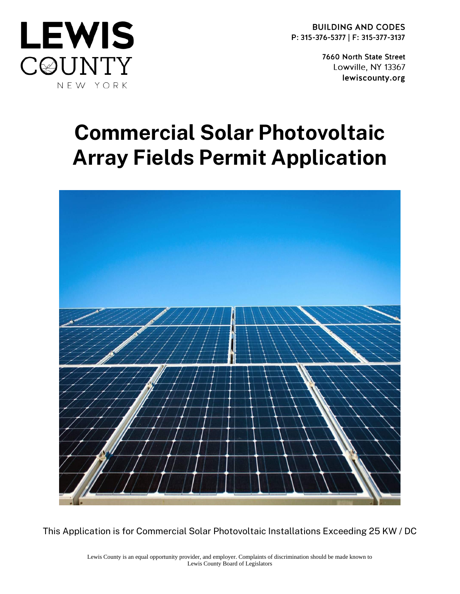



7660 North State Street Lowville, NY 13367 lewiscounty.org

# Commercial Solar Photovoltaic Array Fields Permit Application



This Application is for Commercial Solar Photovoltaic Installations Exceeding 25 KW / DC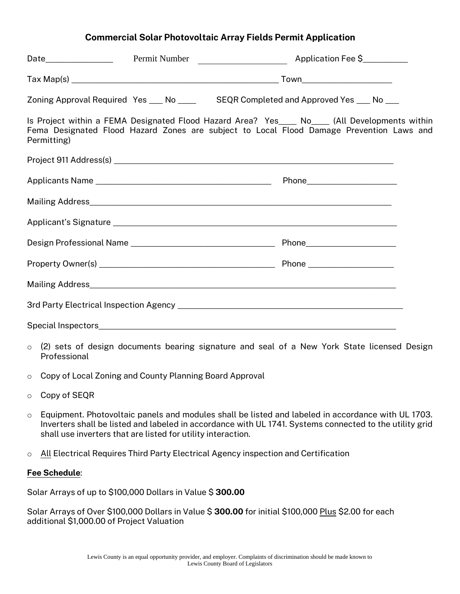#### Commercial Solar Photovoltaic Array Fields Permit Application

|             | Zoning Approval Required Yes ___ No ____ SEQR Completed and Approved Yes ___ No ___ |                                                                                                                                                                                          |
|-------------|-------------------------------------------------------------------------------------|------------------------------------------------------------------------------------------------------------------------------------------------------------------------------------------|
| Permitting) |                                                                                     | Is Project within a FEMA Designated Flood Hazard Area? Yes___ No___ (All Developments within<br>Fema Designated Flood Hazard Zones are subject to Local Flood Damage Prevention Laws and |
|             |                                                                                     |                                                                                                                                                                                          |
|             |                                                                                     |                                                                                                                                                                                          |
|             |                                                                                     |                                                                                                                                                                                          |
|             |                                                                                     |                                                                                                                                                                                          |
|             |                                                                                     |                                                                                                                                                                                          |
|             |                                                                                     |                                                                                                                                                                                          |
|             |                                                                                     |                                                                                                                                                                                          |
|             |                                                                                     |                                                                                                                                                                                          |
|             |                                                                                     |                                                                                                                                                                                          |

- o (2) sets of design documents bearing signature and seal of a New York State licensed Design Professional
- o Copy of Local Zoning and County Planning Board Approval
- o Copy of SEQR
- o Equipment. Photovoltaic panels and modules shall be listed and labeled in accordance with UL 1703. Inverters shall be listed and labeled in accordance with UL 1741. Systems connected to the utility grid shall use inverters that are listed for utility interaction.
- o All Electrical Requires Third Party Electrical Agency inspection and Certification

#### Fee Schedule:

Solar Arrays of up to \$100,000 Dollars in Value \$300.00

Solar Arrays of Over \$100,000 Dollars in Value \$300.00 for initial \$100,000 Plus \$2.00 for each additional \$1,000.00 of Project Valuation